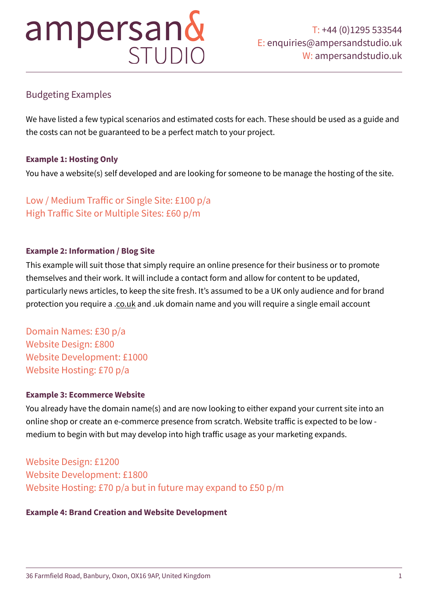# ampersand

# Budgeting Examples

We have listed a few typical scenarios and estimated costs for each. These should be used as a guide and the costs can not be guaranteed to be a perfect match to your project.

## **Example 1: Hosting Only**

You have a website(s) self developed and are looking for someone to be manage the hosting of the site.

# Low / Medium Traffic or Single Site: £100 p/a High Traffic Site or Multiple Sites: £60 p/m

### **Example 2: Information / Blog Site**

This example will suit those that simply require an online presence for their business or to promote themselves and their work. It will include a contact form and allow for content to be updated, particularly news articles, to keep the site fresh. It's assumed to be a UK only audience and for brand protection you require a .[co.uk](http://co.uk) and .uk domain name and you will require a single email account

Domain Names: £30 p/a Website Design: £800 Website Development: £1000 Website Hosting: £70 p/a

### **Example 3: Ecommerce Website**

You already have the domain name(s) and are now looking to either expand your current site into an online shop or create an e-commerce presence from scratch. Website traffic is expected to be low medium to begin with but may develop into high traffic usage as your marketing expands.

Website Design: £1200 Website Development: £1800 Website Hosting: £70 p/a but in future may expand to £50 p/m

#### **Example 4: Brand Creation and Website Development**